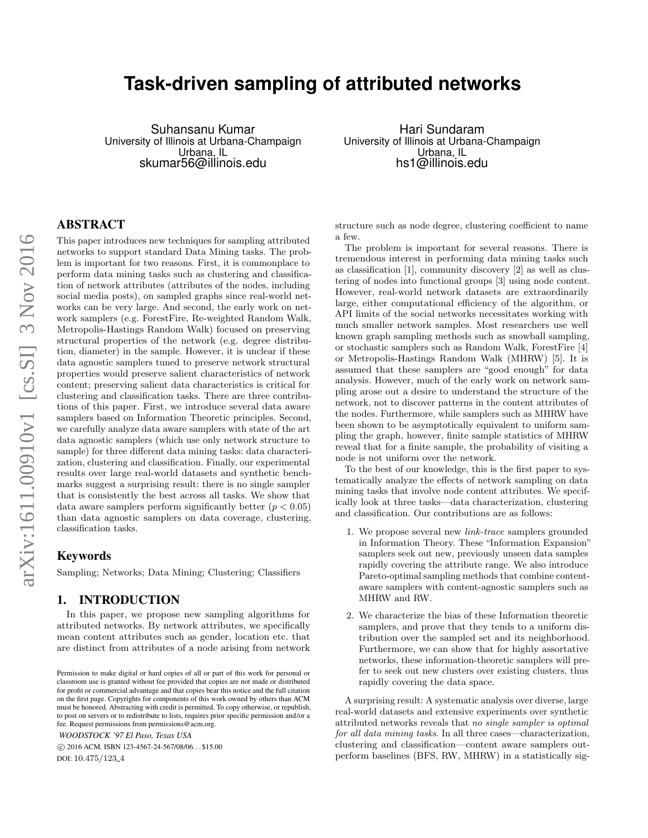# **Task-driven sampling of attributed networks**

Suhansanu Kumar University of Illinois at Urbana-Champaign Urbana, IL skumar56@illinois.edu

Hari Sundaram University of Illinois at Urbana-Champaign Urbana, IL hs1@illinois.edu

## ABSTRACT

This paper introduces new techniques for sampling attributed networks to support standard Data Mining tasks. The problem is important for two reasons. First, it is commonplace to perform data mining tasks such as clustering and classification of network attributes (attributes of the nodes, including social media posts), on sampled graphs since real-world networks can be very large. And second, the early work on network samplers (e.g. ForestFire, Re-weighted Random Walk, Metropolis-Hastings Random Walk) focused on preserving structural properties of the network (e.g. degree distribution, diameter) in the sample. However, it is unclear if these data agnostic samplers tuned to preserve network structural properties would preserve salient characteristics of network content; preserving salient data characteristics is critical for clustering and classification tasks. There are three contributions of this paper. First, we introduce several data aware samplers based on Information Theoretic principles. Second, we carefully analyze data aware samplers with state of the art data agnostic samplers (which use only network structure to sample) for three different data mining tasks: data characterization, clustering and classification. Finally, our experimental results over large real-world datasets and synthetic benchmarks suggest a surprising result: there is no single sampler that is consistently the best across all tasks. We show that data aware samplers perform significantly better  $(p < 0.05)$ than data agnostic samplers on data coverage, clustering, classification tasks.

## Keywords

Sampling; Networks; Data Mining; Clustering; Classifiers

## 1. INTRODUCTION

In this paper, we propose new sampling algorithms for attributed networks. By network attributes, we specifically mean content attributes such as gender, location etc. that are distinct from attributes of a node arising from network

*WOODSTOCK '97 El Paso, Texas USA*

 c 2016 ACM. ISBN 123-4567-24-567/08/06. . . \$15.00 DOI: 10.475/123<sub>-4</sub>

structure such as node degree, clustering coefficient to name a few.

The problem is important for several reasons. There is tremendous interest in performing data mining tasks such as classification [1], community discovery [2] as well as clustering of nodes into functional groups [3] using node content. However, real-world network datasets are extraordinarily large, either computational efficiency of the algorithm, or API limits of the social networks necessitates working with much smaller network samples. Most researchers use well known graph sampling methods such as snowball sampling, or stochastic samplers such as Random Walk, ForestFire [4] or Metropolis-Hastings Random Walk (MHRW) [5]. It is assumed that these samplers are "good enough" for data analysis. However, much of the early work on network sampling arose out a desire to understand the structure of the network, not to discover patterns in the content attributes of the nodes. Furthermore, while samplers such as MHRW have been shown to be asymptotically equivalent to uniform sampling the graph, however, finite sample statistics of MHRW reveal that for a finite sample, the probability of visiting a node is not uniform over the network.

To the best of our knowledge, this is the first paper to systematically analyze the effects of network sampling on data mining tasks that involve node content attributes. We specifically look at three tasks—data characterization, clustering and classification. Our contributions are as follows:

- 1. We propose several new link-trace samplers grounded in Information Theory. These "Information Expansion" samplers seek out new, previously unseen data samples rapidly covering the attribute range. We also introduce Pareto-optimal sampling methods that combine contentaware samplers with content-agnostic samplers such as MHRW and RW.
- 2. We characterize the bias of these Information theoretic samplers, and prove that they tends to a uniform distribution over the sampled set and its neighborhood. Furthermore, we can show that for highly assortative networks, these information-theoretic samplers will prefer to seek out new clusters over existing clusters, thus rapidly covering the data space.

A surprising result: A systematic analysis over diverse, large real-world datasets and extensive experiments over synthetic attributed networks reveals that no single sampler is optimal for all data mining tasks. In all three cases—characterization, clustering and classification—content aware samplers outperform baselines (BFS, RW, MHRW) in a statistically sig-

Permission to make digital or hard copies of all or part of this work for personal or classroom use is granted without fee provided that copies are not made or distributed for profit or commercial advantage and that copies bear this notice and the full citation on the first page. Copyrights for components of this work owned by others than ACM must be honored. Abstracting with credit is permitted. To copy otherwise, or republish, to post on servers or to redistribute to lists, requires prior specific permission and/or a fee. Request permissions from permissions@acm.org.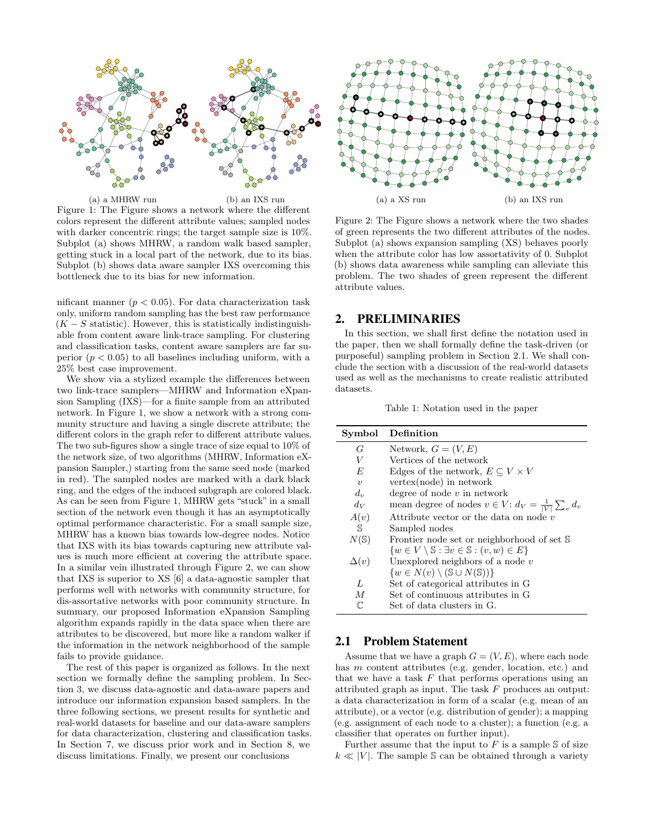

(a) a MHRW run (b) an IXS run Figure 1: The Figure shows a network where the different colors represent the different attribute values; sampled nodes with darker concentric rings; the target sample size is 10%. Subplot (a) shows MHRW, a random walk based sampler, getting stuck in a local part of the network, due to its bias. Subplot (b) shows data aware sampler IXS overcoming this bottleneck due to its bias for new information.

nificant manner  $(p < 0.05)$ . For data characterization task only, uniform random sampling has the best raw performance  $(K - S)$  statistic). However, this is statistically indistinguishable from content aware link-trace sampling. For clustering and classification tasks, content aware samplers are far superior  $(p < 0.05)$  to all baselines including uniform, with a 25% best case improvement.

We show via a stylized example the differences between two link-trace samplers—MHRW and Information eXpansion Sampling (IXS)—for a finite sample from an attributed network. In Figure 1, we show a network with a strong community structure and having a single discrete attribute; the different colors in the graph refer to different attribute values. The two sub-figures show a single trace of size equal to 10% of the network size, of two algorithms (MHRW, Information eXpansion Sampler,) starting from the same seed node (marked in red). The sampled nodes are marked with a dark black ring, and the edges of the induced subgraph are colored black. As can be seen from Figure 1, MHRW gets "stuck" in a small section of the network even though it has an asymptotically optimal performance characteristic. For a small sample size, MHRW has a known bias towards low-degree nodes. Notice that IXS with its bias towards capturing new attribute values is much more efficient at covering the attribute space. In a similar vein illustrated through Figure 2, we can show that IXS is superior to XS [6] a data-agnostic sampler that performs well with networks with community structure, for dis-assortative networks with poor community structure. In summary, our proposed Information eXpansion Sampling algorithm expands rapidly in the data space when there are attributes to be discovered, but more like a random walker if the information in the network neighborhood of the sample fails to provide guidance.

The rest of this paper is organized as follows. In the next section we formally define the sampling problem. In Section 3, we discuss data-agnostic and data-aware papers and introduce our information expansion based samplers. In the three following sections, we present results for synthetic and real-world datasets for baseline and our data-aware samplers for data characterization, clustering and classification tasks. In Section 7, we discuss prior work and in Section 8, we discuss limitations. Finally, we present our conclusions



Figure 2: The Figure shows a network where the two shades of green represents the two different attributes of the nodes. Subplot (a) shows expansion sampling (XS) behaves poorly when the attribute color has low assortativity of 0. Subplot (b) shows data awareness while sampling can alleviate this problem. The two shades of green represent the different attribute values.

## 2. PRELIMINARIES

In this section, we shall first define the notation used in the paper, then we shall formally define the task-driven (or purposeful) sampling problem in Section 2.1. We shall conclude the section with a discussion of the real-world datasets used as well as the mechanisms to create realistic attributed datasets.

Table 1: Notation used in the paper

| Symbol              | Definition                                                                   |
|---------------------|------------------------------------------------------------------------------|
| G                   | Network, $G = (V, E)$                                                        |
| V                   | Vertices of the network                                                      |
| $F_{i}$             | Edges of the network, $E \subseteq V \times V$                               |
| $\boldsymbol{\eta}$ | $vertex(node)$ in network                                                    |
| $d_{\eta}$          | degree of node $v$ in network                                                |
| $d_V$               | mean degree of nodes $v \in V$ : $d_V = \frac{1}{ V } \sum_{v} d_v$          |
| A(v)                | Attribute vector or the data on node $v$                                     |
| S                   | Sampled nodes                                                                |
| $N(\mathbb{S})$     | Frontier node set or neighborhood of set S                                   |
|                     | $\{w \in V \setminus \mathbb{S} : \exists v \in \mathbb{S} : (v, w) \in E\}$ |
| $\Delta(v)$         | Unexplored neighbors of a node $v$                                           |
|                     | $\{w \in N(v) \setminus (\mathbb{S} \cup N(\mathbb{S}))\}$                   |
| L                   | Set of categorical attributes in G                                           |
| M                   | Set of continuous attributes in G                                            |
|                     | Set of data clusters in G.                                                   |

### 2.1 Problem Statement

Assume that we have a graph  $G = (V, E)$ , where each node has m content attributes (e.g. gender, location, etc.) and that we have a task  $F$  that performs operations using an attributed graph as input. The task F produces an output: a data characterization in form of a scalar (e.g. mean of an attribute), or a vector (e.g. distribution of gender); a mapping (e.g. assignment of each node to a cluster); a function (e.g. a classifier that operates on further input).

Further assume that the input to  $F$  is a sample  $\mathcal S$  of size  $k \ll |V|$ . The sample S can be obtained through a variety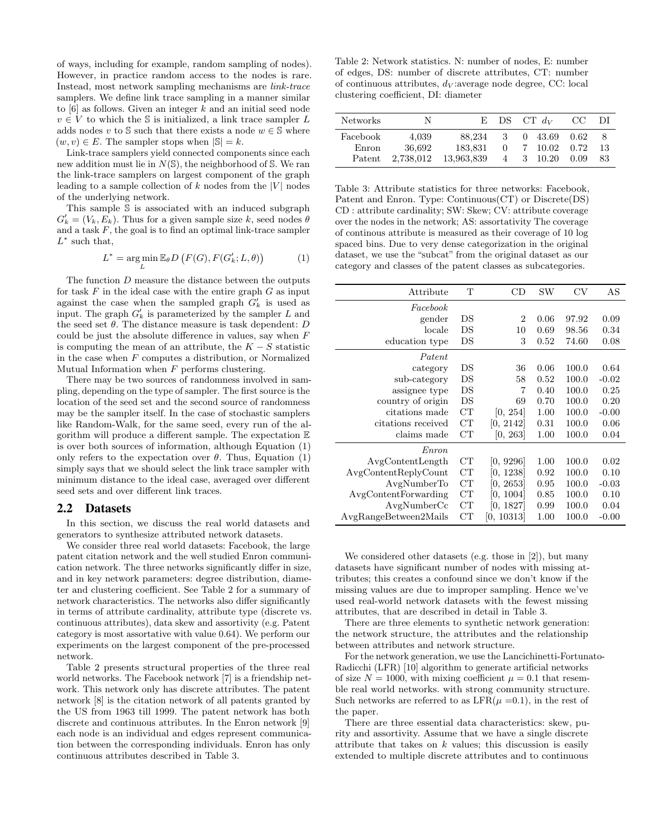of ways, including for example, random sampling of nodes). However, in practice random access to the nodes is rare. Instead, most network sampling mechanisms are link-trace samplers. We define link trace sampling in a manner similar to  $[6]$  as follows. Given an integer k and an initial seed node  $v \in V$  to which the S is initialized, a link trace sampler L adds nodes v to S such that there exists a node  $w \in \mathbb{S}$  where  $(w, v) \in E$ . The sampler stops when  $|\mathbb{S}| = k$ .

Link-trace samplers yield connected components since each new addition must lie in  $N(\mathbb{S})$ , the neighborhood of  $\mathbb{S}$ . We ran the link-trace samplers on largest component of the graph leading to a sample collection of k nodes from the  $|V|$  nodes of the underlying network.

This sample S is associated with an induced subgraph  $G'_{k} = (V_{k}, E_{k})$ . Thus for a given sample size k, seed nodes  $\theta$ and a task  $F$ , the goal is to find an optimal link-trace sampler  $L^*$  such that,

$$
L^* = \underset{L}{\arg\min} \mathbb{E}_{\theta} D\left(F(G), F(G'_k; L, \theta)\right) \tag{1}
$$

The function D measure the distance between the outputs for task  $F$  in the ideal case with the entire graph  $G$  as input against the case when the sampled graph  $G'_{k}$  is used as input. The graph  $G'_{k}$  is parameterized by the sampler L and the seed set  $\theta.$  The distance measure is task dependent:  $D$ could be just the absolute difference in values, say when  $F$ is computing the mean of an attribute, the  $K - S$  statistic in the case when  $F$  computes a distribution, or Normalized Mutual Information when  $F$  performs clustering.

There may be two sources of randomness involved in sampling, depending on the type of sampler. The first source is the location of the seed set and the second source of randomness may be the sampler itself. In the case of stochastic samplers like Random-Walk, for the same seed, every run of the algorithm will produce a different sample. The expectation  $E$ is over both sources of information, although Equation (1) only refers to the expectation over  $\theta$ . Thus, Equation (1) simply says that we should select the link trace sampler with minimum distance to the ideal case, averaged over different seed sets and over different link traces.

#### 2.2 Datasets

In this section, we discuss the real world datasets and generators to synthesize attributed network datasets.

We consider three real world datasets: Facebook, the large patent citation network and the well studied Enron communication network. The three networks significantly differ in size, and in key network parameters: degree distribution, diameter and clustering coefficient. See Table 2 for a summary of network characteristics. The networks also differ significantly in terms of attribute cardinality, attribute type (discrete vs. continuous attributes), data skew and assortivity (e.g. Patent category is most assortative with value 0.64). We perform our experiments on the largest component of the pre-processed network.

Table 2 presents structural properties of the three real world networks. The Facebook network [7] is a friendship network. This network only has discrete attributes. The patent network [8] is the citation network of all patents granted by the US from 1963 till 1999. The patent network has both discrete and continuous attributes. In the Enron network [9] each node is an individual and edges represent communication between the corresponding individuals. Enron has only continuous attributes described in Table 3.

Table 2: Network statistics. N: number of nodes, E: number of edges, DS: number of discrete attributes, CT: number of continuous attributes,  $d_V$ : average node degree, CC: local clustering coefficient, DI: diameter

| <b>Networks</b>             | N                            | H) –                            |        | $DS$ CT $d_V$                                        | CC.                  | DI                                     |
|-----------------------------|------------------------------|---------------------------------|--------|------------------------------------------------------|----------------------|----------------------------------------|
| Facebook<br>Enron<br>Patent | 4.039<br>36.692<br>2,738,012 | 88.234<br>183.831<br>13,963,839 | 3<br>0 | $0\quad 43.69$<br>7 10.02<br>$4 \quad 3 \quad 10.20$ | 0.62<br>0.72<br>0.09 | $\boldsymbol{\mathsf{x}}$<br>-13<br>83 |

Table 3: Attribute statistics for three networks: Facebook, Patent and Enron. Type: Continuous(CT) or Discrete(DS) CD : attribute cardinality; SW: Skew; CV: attribute coverage over the nodes in the network; AS: assortativity The coverage of continous attribute is measured as their coverage of 10 log spaced bins. Due to very dense categorization in the original dataset, we use the "subcat" from the original dataset as our category and classes of the patent classes as subcategories.

| Attribute             | T           | CD         | SW   | CV    | AS      |
|-----------------------|-------------|------------|------|-------|---------|
| Facebook              |             |            |      |       |         |
| gender                | DS          | 2          | 0.06 | 97.92 | 0.09    |
| locale                | DS          | 10         | 0.69 | 98.56 | 0.34    |
| education type        | DS          | 3          | 0.52 | 74.60 | 0.08    |
| Patent                |             |            |      |       |         |
| category              | DS          | 36         | 0.06 | 100.0 | 0.64    |
| sub-category          | DS          | 58         | 0.52 | 100.0 | $-0.02$ |
| assignee type         | DS          | 7          | 0.40 | 100.0 | 0.25    |
| country of origin     | DS          | 69         | 0.70 | 100.0 | 0.20    |
| citations made        | CТ          | [0, 254]   | 1.00 | 100.0 | $-0.00$ |
| citations received    | CT          | [0, 2142]  | 0.31 | 100.0 | 0.06    |
| claims made           | CT          | [0, 263]   | 1.00 | 100.0 | 0.04    |
| Enron                 |             |            |      |       |         |
| AvgContentLength      | CT          | [0, 9296]  | 1.00 | 100.0 | 0.02    |
| AvgContentReplyCount  | CТ          | [0, 1238]  | 0.92 | 100.0 | 0.10    |
| AvgNumberTo           | $_{\rm CT}$ | [0, 2653]  | 0.95 | 100.0 | $-0.03$ |
| AvgContentForwarding  | CT          | [0, 1004]  | 0.85 | 100.0 | 0.10    |
| AvgNumberCc           | $_{\rm CT}$ | [0, 1827]  | 0.99 | 100.0 | 0.04    |
| AvgRangeBetween2Mails | CТ          | [0, 10313] | 1.00 | 100.0 | $-0.00$ |

We considered other datasets (e.g. those in [2]), but many datasets have significant number of nodes with missing attributes; this creates a confound since we don't know if the missing values are due to improper sampling. Hence we've used real-world network datasets with the fewest missing attributes, that are described in detail in Table 3.

There are three elements to synthetic network generation: the network structure, the attributes and the relationship between attributes and network structure.

For the network generation, we use the Lancichinetti-Fortunato-Radicchi (LFR) [10] algorithm to generate artificial networks of size  $N = 1000$ , with mixing coefficient  $\mu = 0.1$  that resemble real world networks. with strong community structure. Such networks are referred to as  $LFR(\mu =0.1)$ , in the rest of the paper.

There are three essential data characteristics: skew, purity and assortivity. Assume that we have a single discrete attribute that takes on  $k$  values; this discussion is easily extended to multiple discrete attributes and to continuous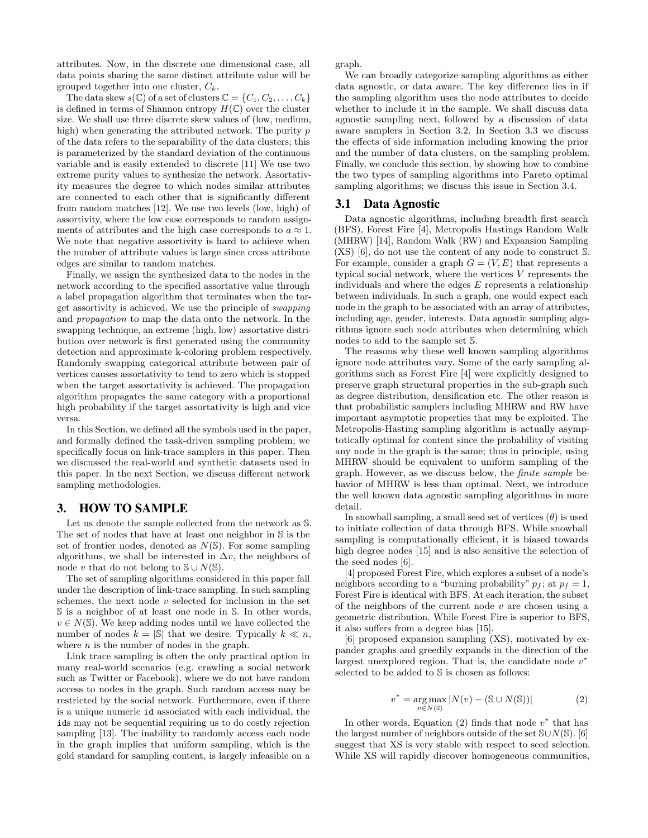attributes. Now, in the discrete one dimensional case, all data points sharing the same distinct attribute value will be grouped together into one cluster,  $C_k$ .

The data skew  $s(\mathbb{C})$  of a set of clusters  $\mathbb{C} = \{C_1, C_2, \ldots, C_k\}$ is defined in terms of Shannon entropy  $H(\mathbb{C})$  over the cluster size. We shall use three discrete skew values of (low, medium, high) when generating the attributed network. The purity  $p$ of the data refers to the separability of the data clusters; this is parameterized by the standard deviation of the continuous variable and is easily extended to discrete [11] We use two extreme purity values to synthesize the network. Assortativity measures the degree to which nodes similar attributes are connected to each other that is significantly different from random matches [12]. We use two levels (low, high) of assortivity, where the low case corresponds to random assignments of attributes and the high case corresponds to  $a \approx 1$ . We note that negative assortivity is hard to achieve when the number of attribute values is large since cross attribute edges are similar to random matches.

Finally, we assign the synthesized data to the nodes in the network according to the specified assortative value through a label propagation algorithm that terminates when the target assortivity is achieved. We use the principle of swapping and propagation to map the data onto the network. In the swapping technique, an extreme (high, low) assortative distribution over network is first generated using the community detection and approximate k-coloring problem respectively. Randomly swapping categorical attribute between pair of vertices causes assortativity to tend to zero which is stopped when the target assortativity is achieved. The propagation algorithm propagates the same category with a proportional high probability if the target assortativity is high and vice versa.

In this Section, we defined all the symbols used in the paper, and formally defined the task-driven sampling problem; we specifically focus on link-trace samplers in this paper. Then we discussed the real-world and synthetic datasets used in this paper. In the next Section, we discuss different network sampling methodologies.

## 3. HOW TO SAMPLE

Let us denote the sample collected from the network as S. The set of nodes that have at least one neighbor in S is the set of frontier nodes, denoted as  $N(\mathbb{S})$ . For some sampling algorithms, we shall be interested in  $\Delta v$ , the neighbors of node v that do not belong to  $\mathcal{S} \cup N(\mathcal{S})$ .

The set of sampling algorithms considered in this paper fall under the description of link-trace sampling. In such sampling schemes, the next node  $v$  selected for inclusion in the set S is a neighbor of at least one node in S. In other words,  $v \in N(\mathbb{S})$ . We keep adding nodes until we have collected the number of nodes  $k = |\mathbb{S}|$  that we desire. Typically  $k \ll n$ , where  $n$  is the number of nodes in the graph.

Link trace sampling is often the only practical option in many real-world scenarios (e.g. crawling a social network such as Twitter or Facebook), where we do not have random access to nodes in the graph. Such random access may be restricted by the social network. Furthermore, even if there is a unique numeric id associated with each individual, the ids may not be sequential requiring us to do costly rejection sampling [13]. The inability to randomly access each node in the graph implies that uniform sampling, which is the gold standard for sampling content, is largely infeasible on a

graph.

We can broadly categorize sampling algorithms as either data agnostic, or data aware. The key difference lies in if the sampling algorithm uses the node attributes to decide whether to include it in the sample. We shall discuss data agnostic sampling next, followed by a discussion of data aware samplers in Section 3.2. In Section 3.3 we discuss the effects of side information including knowing the prior and the number of data clusters, on the sampling problem. Finally, we conclude this section, by showing how to combine the two types of sampling algorithms into Pareto optimal sampling algorithms; we discuss this issue in Section 3.4.

## 3.1 Data Agnostic

Data agnostic algorithms, including breadth first search (BFS), Forest Fire [4], Metropolis Hastings Random Walk (MHRW) [14], Random Walk (RW) and Expansion Sampling (XS) [6], do not use the content of any node to construct S. For example, consider a graph  $G = (V, E)$  that represents a typical social network, where the vertices V represents the individuals and where the edges  $E$  represents a relationship between individuals. In such a graph, one would expect each node in the graph to be associated with an array of attributes, including age, gender, interests. Data agnostic sampling algorithms ignore such node attributes when determining which nodes to add to the sample set S.

The reasons why these well known sampling algorithms ignore node attributes vary. Some of the early sampling algorithms such as Forest Fire [4] were explicitly designed to preserve graph structural properties in the sub-graph such as degree distribution, densification etc. The other reason is that probabilistic samplers including MHRW and RW have important asymptotic properties that may be exploited. The Metropolis-Hasting sampling algorithm is actually asymptotically optimal for content since the probability of visiting any node in the graph is the same; thus in principle, using MHRW should be equivalent to uniform sampling of the graph. However, as we discuss below, the finite sample behavior of MHRW is less than optimal. Next, we introduce the well known data agnostic sampling algorithms in more detail.

In snowball sampling, a small seed set of vertices  $(\theta)$  is used to initiate collection of data through BFS. While snowball sampling is computationally efficient, it is biased towards high degree nodes [15] and is also sensitive the selection of the seed nodes [6].

[4] proposed Forest Fire, which explores a subset of a node's neighbors according to a "burning probability"  $p_f$ ; at  $p_f = 1$ , Forest Fire is identical with BFS. At each iteration, the subset of the neighbors of the current node  $v$  are chosen using a geometric distribution. While Forest Fire is superior to BFS, it also suffers from a degree bias [15].

[6] proposed expansion sampling (XS), motivated by expander graphs and greedily expands in the direction of the largest unexplored region. That is, the candidate node  $v^*$ selected to be added to S is chosen as follows:

$$
v^* = \underset{v \in N(\mathbb{S})}{\arg \max} |N(v) - (\mathbb{S} \cup N(\mathbb{S}))|
$$
 (2)

In other words, Equation  $(2)$  finds that node  $v^*$  that has the largest number of neighbors outside of the set  $\text{SU}(S)$ . [6] suggest that XS is very stable with respect to seed selection. While XS will rapidly discover homogeneous communities,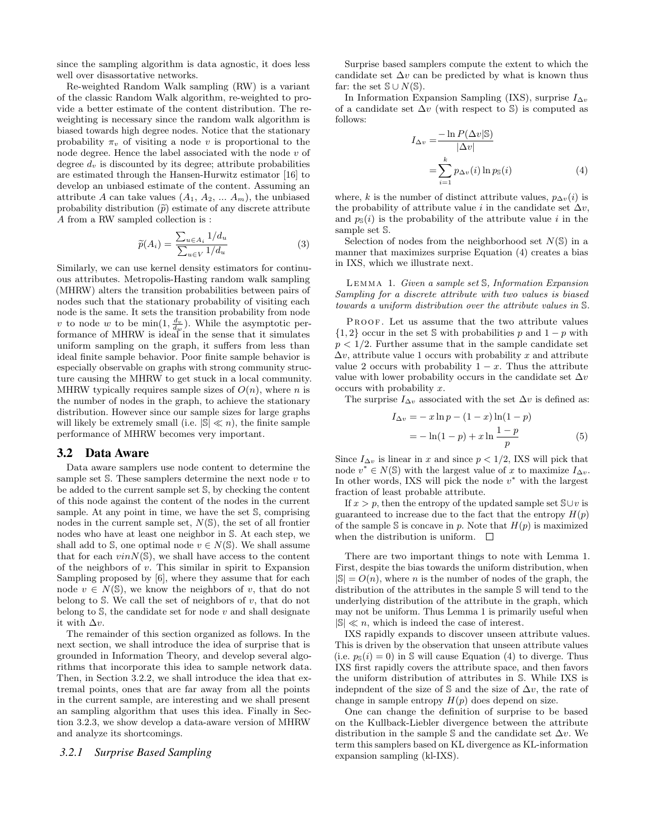since the sampling algorithm is data agnostic, it does less well over disassortative networks.

Re-weighted Random Walk sampling (RW) is a variant of the classic Random Walk algorithm, re-weighted to provide a better estimate of the content distribution. The reweighting is necessary since the random walk algorithm is biased towards high degree nodes. Notice that the stationary probability  $\pi_v$  of visiting a node v is proportional to the node degree. Hence the label associated with the node  $v$  of degree  $d_v$  is discounted by its degree; attribute probabilities are estimated through the Hansen-Hurwitz estimator [16] to develop an unbiased estimate of the content. Assuming an attribute A can take values  $(A_1, A_2, \ldots, A_m)$ , the unbiased probability distribution  $(\tilde{p})$  estimate of any discrete attribute A from a RW sampled collection is :

$$
\widetilde{p}(A_i) = \frac{\sum_{u \in A_i} 1/d_u}{\sum_{u \in V} 1/d_u} \tag{3}
$$

Similarly, we can use kernel density estimators for continuous attributes. Metropolis-Hasting random walk sampling (MHRW) alters the transition probabilities between pairs of nodes such that the stationary probability of visiting each node is the same. It sets the transition probability from node v to node w to be  $\min(1, \frac{d_v}{d_w})$ . While the asymptotic performance of MHRW is ideal in the sense that it simulates uniform sampling on the graph, it suffers from less than ideal finite sample behavior. Poor finite sample behavior is especially observable on graphs with strong community structure causing the MHRW to get stuck in a local community. MHRW typically requires sample sizes of  $O(n)$ , where n is the number of nodes in the graph, to achieve the stationary distribution. However since our sample sizes for large graphs will likely be extremely small (i.e.  $|\mathbb{S}| \ll n$ ), the finite sample performance of MHRW becomes very important.

#### 3.2 Data Aware

Data aware samplers use node content to determine the sample set  $S$ . These samplers determine the next node  $v$  to be added to the current sample set S, by checking the content of this node against the content of the nodes in the current sample. At any point in time, we have the set S, comprising nodes in the current sample set,  $N(\mathbb{S})$ , the set of all frontier nodes who have at least one neighbor in S. At each step, we shall add to S, one optimal node  $v \in N(\mathbb{S})$ . We shall assume that for each  $vinN(\mathbb{S})$ , we shall have access to the content of the neighbors of  $v$ . This similar in spirit to Expansion Sampling proposed by [6], where they assume that for each node  $v \in N(\mathbb{S})$ , we know the neighbors of v, that do not belong to  $S$ . We call the set of neighbors of  $v$ , that do not belong to  $S$ , the candidate set for node  $v$  and shall designate it with  $\Delta v$ .

The remainder of this section organized as follows. In the next section, we shall introduce the idea of surprise that is grounded in Information Theory, and develop several algorithms that incorporate this idea to sample network data. Then, in Section 3.2.2, we shall introduce the idea that extremal points, ones that are far away from all the points in the current sample, are interesting and we shall present an sampling algorithm that uses this idea. Finally in Section 3.2.3, we show develop a data-aware version of MHRW and analyze its shortcomings.

#### *3.2.1 Surprise Based Sampling*

Surprise based samplers compute the extent to which the candidate set  $\Delta v$  can be predicted by what is known thus far: the set  $\mathbb{S} \cup N(\mathbb{S})$ .

In Information Expansion Sampling (IXS), surprise  $I_{\Delta v}$ of a candidate set  $\Delta v$  (with respect to S) is computed as follows:

$$
I_{\Delta v} = \frac{-\ln P(\Delta v | \mathbb{S})}{|\Delta v|}
$$
  
= 
$$
\sum_{i=1}^{k} p_{\Delta v}(i) \ln p_{\mathbb{S}}(i)
$$
 (4)

where, k is the number of distinct attribute values,  $p_{\Delta v}(i)$  is the probability of attribute value i in the candidate set  $\Delta v$ , and  $p_{\mathbb{S}}(i)$  is the probability of the attribute value i in the sample set S.

Selection of nodes from the neighborhood set  $N(\mathbb{S})$  in a manner that maximizes surprise Equation (4) creates a bias in IXS, which we illustrate next.

Lemma 1. Given a sample set S, Information Expansion Sampling for a discrete attribute with two values is biased towards a uniform distribution over the attribute values in S.

PROOF. Let us assume that the two attribute values  $\{1, 2\}$  occur in the set S with probabilities p and  $1 - p$  with  $p < 1/2$ . Further assume that in the sample candidate set  $\Delta v$ , attribute value 1 occurs with probability x and attribute value 2 occurs with probability  $1 - x$ . Thus the attribute value with lower probability occurs in the candidate set  $\Delta v$ occurs with probability x.

The surprise  $I_{\Delta v}$  associated with the set  $\Delta v$  is defined as:

$$
I_{\Delta v} = -x \ln p - (1 - x) \ln(1 - p)
$$
  
=  $-\ln(1 - p) + x \ln \frac{1 - p}{p}$  (5)

Since  $I_{\Delta v}$  is linear in x and since  $p < 1/2$ , IXS will pick that node  $v^* \in N(\mathbb{S})$  with the largest value of x to maximize  $I_{\Delta v}$ . In other words, IXS will pick the node  $v^*$  with the largest fraction of least probable attribute.

If  $x > p$ , then the entropy of the updated sample set  $\mathcal{S} \cup v$  is guaranteed to increase due to the fact that the entropy  $H(p)$ of the sample S is concave in p. Note that  $H(p)$  is maximized when the distribution is uniform.  $\Box$ 

There are two important things to note with Lemma 1. First, despite the bias towards the uniform distribution, when  $|\mathbb{S}| = O(n)$ , where *n* is the number of nodes of the graph, the distribution of the attributes in the sample S will tend to the underlying distribution of the attribute in the graph, which may not be uniform. Thus Lemma 1 is primarily useful when  $|\mathbb{S}| \ll n$ , which is indeed the case of interest.

IXS rapidly expands to discover unseen attribute values. This is driven by the observation that unseen attribute values (i.e.  $p_{\mathbb{S}}(i) = 0$ ) in  $\mathbb S$  will cause Equation (4) to diverge. Thus IXS first rapidly covers the attribute space, and then favors the uniform distribution of attributes in S. While IXS is indepndent of the size of  $\mathcal S$  and the size of  $\Delta v$ , the rate of change in sample entropy  $H(p)$  does depend on size.

One can change the definition of surprise to be based on the Kullback-Liebler divergence between the attribute distribution in the sample  $\mathbb S$  and the candidate set  $\Delta v$ . We term this samplers based on KL divergence as KL-information expansion sampling (kl-IXS).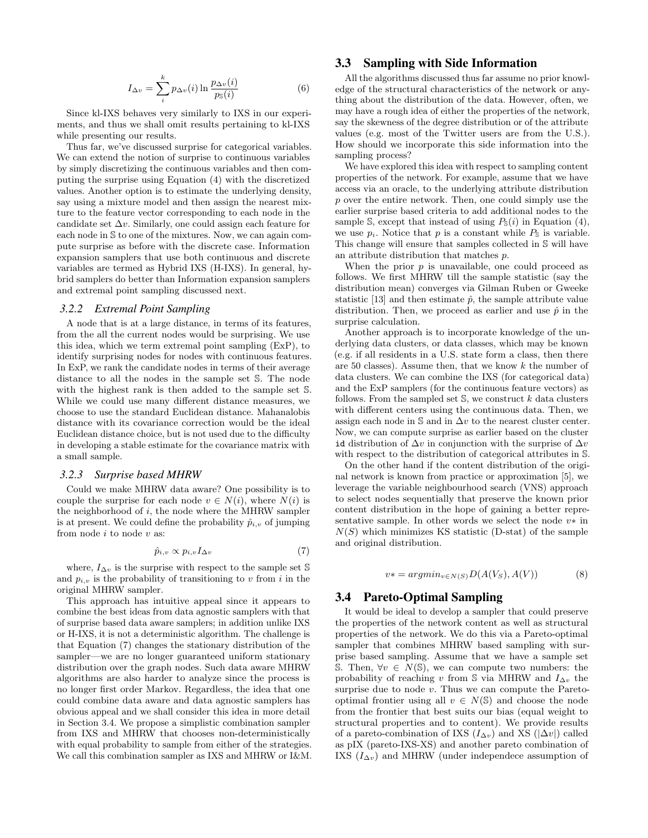$$
I_{\Delta v} = \sum_{i}^{k} p_{\Delta v}(i) \ln \frac{p_{\Delta v}(i)}{p_{\mathbb{S}}(i)} \tag{6}
$$

Since kl-IXS behaves very similarly to IXS in our experiments, and thus we shall omit results pertaining to kl-IXS while presenting our results.

Thus far, we've discussed surprise for categorical variables. We can extend the notion of surprise to continuous variables by simply discretizing the continuous variables and then computing the surprise using Equation (4) with the discretized values. Another option is to estimate the underlying density, say using a mixture model and then assign the nearest mixture to the feature vector corresponding to each node in the candidate set  $\Delta v$ . Similarly, one could assign each feature for each node in S to one of the mixtures. Now, we can again compute surprise as before with the discrete case. Information expansion samplers that use both continuous and discrete variables are termed as Hybrid IXS (H-IXS). In general, hybrid samplers do better than Information expansion samplers and extremal point sampling discussed next.

#### *3.2.2 Extremal Point Sampling*

A node that is at a large distance, in terms of its features, from the all the current nodes would be surprising. We use this idea, which we term extremal point sampling (ExP), to identify surprising nodes for nodes with continuous features. In ExP, we rank the candidate nodes in terms of their average distance to all the nodes in the sample set S. The node with the highest rank is then added to the sample set S. While we could use many different distance measures, we choose to use the standard Euclidean distance. Mahanalobis distance with its covariance correction would be the ideal Euclidean distance choice, but is not used due to the difficulty in developing a stable estimate for the covariance matrix with a small sample.

#### *3.2.3 Surprise based MHRW*

Could we make MHRW data aware? One possibility is to couple the surprise for each node  $v \in N(i)$ , where  $N(i)$  is the neighborhood of  $i$ , the node where the MHRW sampler is at present. We could define the probability  $\hat{p}_{i,v}$  of jumping from node  $i$  to node  $v$  as:

$$
\hat{p}_{i,v} \propto p_{i,v} I_{\Delta v} \tag{7}
$$

where,  $I_{\Delta v}$  is the surprise with respect to the sample set S and  $p_{i,v}$  is the probability of transitioning to v from i in the original MHRW sampler.

This approach has intuitive appeal since it appears to combine the best ideas from data agnostic samplers with that of surprise based data aware samplers; in addition unlike IXS or H-IXS, it is not a deterministic algorithm. The challenge is that Equation (7) changes the stationary distribution of the sampler—we are no longer guaranteed uniform stationary distribution over the graph nodes. Such data aware MHRW algorithms are also harder to analyze since the process is no longer first order Markov. Regardless, the idea that one could combine data aware and data agnostic samplers has obvious appeal and we shall consider this idea in more detail in Section 3.4. We propose a simplistic combination sampler from IXS and MHRW that chooses non-deterministically with equal probability to sample from either of the strategies. We call this combination sampler as IXS and MHRW or I&M.

## 3.3 Sampling with Side Information

All the algorithms discussed thus far assume no prior knowledge of the structural characteristics of the network or anything about the distribution of the data. However, often, we may have a rough idea of either the properties of the network, say the skewness of the degree distribution or of the attribute values (e.g. most of the Twitter users are from the U.S.). How should we incorporate this side information into the sampling process?

We have explored this idea with respect to sampling content properties of the network. For example, assume that we have access via an oracle, to the underlying attribute distribution p over the entire network. Then, one could simply use the earlier surprise based criteria to add additional nodes to the sample S, except that instead of using  $P_{\mathbb{S}}(i)$  in Equation (4), we use  $p_i$ . Notice that p is a constant while  $P_{\mathbb{S}}$  is variable. This change will ensure that samples collected in S will have an attribute distribution that matches p.

When the prior  $p$  is unavailable, one could proceed as follows. We first MHRW till the sample statistic (say the distribution mean) converges via Gilman Ruben or Gweeke statistic [13] and then estimate  $\hat{p}$ , the sample attribute value distribution. Then, we proceed as earlier and use  $\hat{p}$  in the surprise calculation.

Another approach is to incorporate knowledge of the underlying data clusters, or data classes, which may be known (e.g. if all residents in a U.S. state form a class, then there are 50 classes). Assume then, that we know k the number of data clusters. We can combine the IXS (for categorical data) and the ExP samplers (for the continuous feature vectors) as follows. From the sampled set  $\mathcal{S}$ , we construct  $k$  data clusters with different centers using the continuous data. Then, we assign each node in  $\mathcal S$  and in  $\Delta v$  to the nearest cluster center. Now, we can compute surprise as earlier based on the cluster id distribution of  $\Delta v$  in conjunction with the surprise of  $\Delta v$ with respect to the distribution of categorical attributes in S.

On the other hand if the content distribution of the original network is known from practice or approximation [5], we leverage the variable neighbourhood search (VNS) approach to select nodes sequentially that preserve the known prior content distribution in the hope of gaining a better representative sample. In other words we select the node  $v*$  in  $N(S)$  which minimizes KS statistic (D-stat) of the sample and original distribution.

$$
v* = argmin_{v \in N(S)} D(A(V_S), A(V))
$$
\n(8)

#### 3.4 Pareto-Optimal Sampling

It would be ideal to develop a sampler that could preserve the properties of the network content as well as structural properties of the network. We do this via a Pareto-optimal sampler that combines MHRW based sampling with surprise based sampling. Assume that we have a sample set S. Then,  $\forall v \in N(\mathbb{S})$ , we can compute two numbers: the probability of reaching v from  $\mathcal S$  via MHRW and  $I_{\Delta v}$  the surprise due to node v. Thus we can compute the Paretooptimal frontier using all  $v \in N(\mathbb{S})$  and choose the node from the frontier that best suits our bias (equal weight to structural properties and to content). We provide results of a pareto-combination of IXS  $(I_{\Delta v})$  and XS  $(|\Delta v|)$  called as pIX (pareto-IXS-XS) and another pareto combination of IXS  $(I_{\Delta v})$  and MHRW (under independece assumption of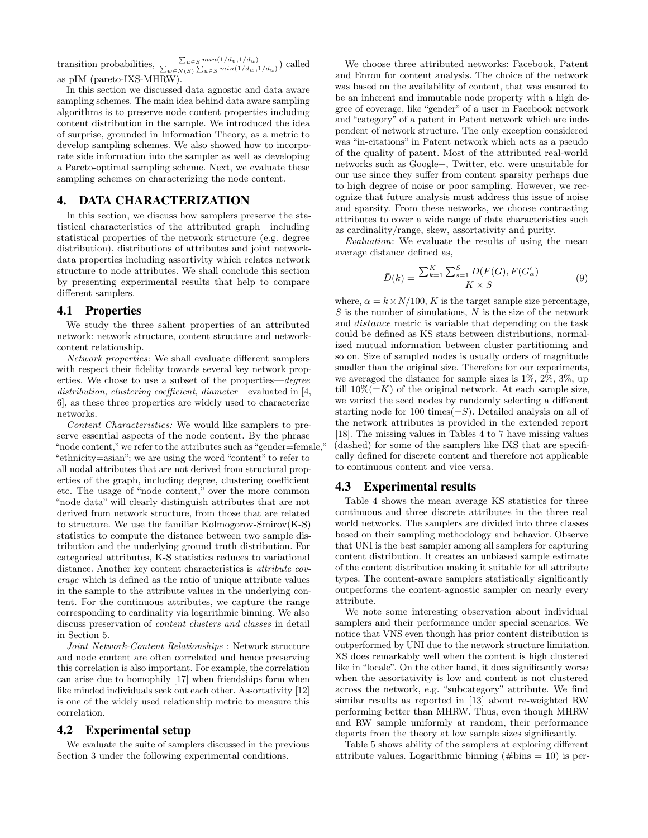transition probabilities,  $\frac{\sum_{u \in S} min(1/d_v, 1/d_u)}{\sum_{w \in N(S)} \sum_{u \in S} min(1/d_w, 1/d_u)}$  called as pIM (pareto-IXS-MHRW).

In this section we discussed data agnostic and data aware sampling schemes. The main idea behind data aware sampling algorithms is to preserve node content properties including content distribution in the sample. We introduced the idea of surprise, grounded in Information Theory, as a metric to develop sampling schemes. We also showed how to incorporate side information into the sampler as well as developing a Pareto-optimal sampling scheme. Next, we evaluate these sampling schemes on characterizing the node content.

# 4. DATA CHARACTERIZATION

In this section, we discuss how samplers preserve the statistical characteristics of the attributed graph—including statistical properties of the network structure (e.g. degree distribution), distributions of attributes and joint networkdata properties including assortivity which relates network structure to node attributes. We shall conclude this section by presenting experimental results that help to compare different samplers.

#### 4.1 Properties

We study the three salient properties of an attributed network: network structure, content structure and networkcontent relationship.

Network properties: We shall evaluate different samplers with respect their fidelity towards several key network properties. We chose to use a subset of the properties—degree distribution, clustering coefficient, diameter—evaluated in [4, 6], as these three properties are widely used to characterize networks.

Content Characteristics: We would like samplers to preserve essential aspects of the node content. By the phrase "node content,"we refer to the attributes such as "gender=female," "ethnicity=asian"; we are using the word "content" to refer to all nodal attributes that are not derived from structural properties of the graph, including degree, clustering coefficient etc. The usage of "node content," over the more common "node data" will clearly distinguish attributes that are not derived from network structure, from those that are related to structure. We use the familiar Kolmogorov-Smirov(K-S) statistics to compute the distance between two sample distribution and the underlying ground truth distribution. For categorical attributes, K-S statistics reduces to variational distance. Another key content characteristics is *attribute cov*erage which is defined as the ratio of unique attribute values in the sample to the attribute values in the underlying content. For the continuous attributes, we capture the range corresponding to cardinality via logarithmic binning. We also discuss preservation of content clusters and classes in detail in Section 5.

Joint Network-Content Relationships : Network structure and node content are often correlated and hence preserving this correlation is also important. For example, the correlation can arise due to homophily [17] when friendships form when like minded individuals seek out each other. Assortativity [12] is one of the widely used relationship metric to measure this correlation.

## 4.2 Experimental setup

We evaluate the suite of samplers discussed in the previous Section 3 under the following experimental conditions.

We choose three attributed networks: Facebook, Patent and Enron for content analysis. The choice of the network was based on the availability of content, that was ensured to be an inherent and immutable node property with a high degree of coverage, like "gender" of a user in Facebook network and "category" of a patent in Patent network which are independent of network structure. The only exception considered was "in-citations" in Patent network which acts as a pseudo of the quality of patent. Most of the attributed real-world networks such as Google+, Twitter, etc. were unsuitable for our use since they suffer from content sparsity perhaps due to high degree of noise or poor sampling. However, we recognize that future analysis must address this issue of noise and sparsity. From these networks, we choose contrasting attributes to cover a wide range of data characteristics such as cardinality/range, skew, assortativity and purity.

Evaluation: We evaluate the results of using the mean average distance defined as,

$$
\bar{D}(k) = \frac{\sum_{k=1}^{K} \sum_{s=1}^{S} D(F(G), F(G'_{\alpha}))}{K \times S}
$$
(9)

where,  $\alpha = k \times N/100$ , K is the target sample size percentage,  $S$  is the number of simulations,  $N$  is the size of the network and distance metric is variable that depending on the task could be defined as KS stats between distributions, normalized mutual information between cluster partitioning and so on. Size of sampled nodes is usually orders of magnitude smaller than the original size. Therefore for our experiments, we averaged the distance for sample sizes is 1%, 2%, 3%, up till  $10\% (= K)$  of the original network. At each sample size, we varied the seed nodes by randomly selecting a different starting node for 100 times( $=S$ ). Detailed analysis on all of the network attributes is provided in the extended report [18]. The missing values in Tables 4 to 7 have missing values (dashed) for some of the samplers like IXS that are specifically defined for discrete content and therefore not applicable to continuous content and vice versa.

#### 4.3 Experimental results

Table 4 shows the mean average KS statistics for three continuous and three discrete attributes in the three real world networks. The samplers are divided into three classes based on their sampling methodology and behavior. Observe that UNI is the best sampler among all samplers for capturing content distribution. It creates an unbiased sample estimate of the content distribution making it suitable for all attribute types. The content-aware samplers statistically significantly outperforms the content-agnostic sampler on nearly every attribute.

We note some interesting observation about individual samplers and their performance under special scenarios. We notice that VNS even though has prior content distribution is outperformed by UNI due to the network structure limitation. XS does remarkably well when the content is high clustered like in "locale". On the other hand, it does significantly worse when the assortativity is low and content is not clustered across the network, e.g. "subcategory" attribute. We find similar results as reported in [13] about re-weighted RW performing better than MHRW. Thus, even though MHRW and RW sample uniformly at random, their performance departs from the theory at low sample sizes significantly.

Table 5 shows ability of the samplers at exploring different attribute values. Logarithmic binning  $(\text{\#bins} = 10)$  is per-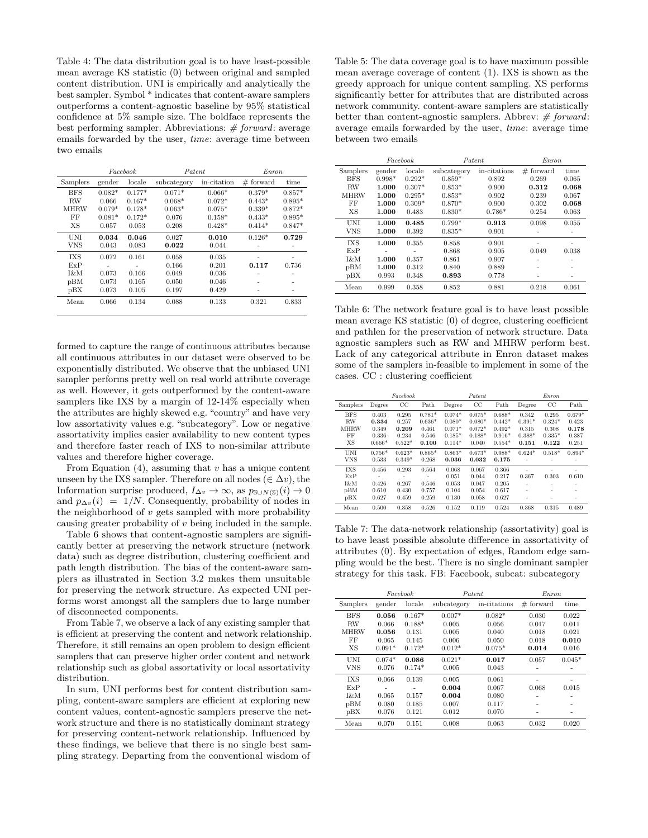Table 4: The data distribution goal is to have least-possible mean average KS statistic (0) between original and sampled content distribution. UNI is empirically and analytically the best sampler. Symbol \* indicates that content-aware samplers outperforms a content-agnostic baseline by 95% statistical confidence at 5% sample size. The boldface represents the best performing sampler. Abbreviations:  $# forward$ : average emails forwarded by the user, time: average time between two emails

|             |          | Facebook | Patent      |             | Enron       |          |  |  |
|-------------|----------|----------|-------------|-------------|-------------|----------|--|--|
| Samplers    | gender   | locale   | subcategory | in-citation | $#$ forward | time     |  |  |
| <b>BFS</b>  | $0.082*$ | $0.177*$ | $0.071*$    | $0.066*$    | $0.379*$    | $0.857*$ |  |  |
| <b>RW</b>   | 0.066    | $0.167*$ | $0.068*$    | $0.072*$    | $0.443*$    | $0.895*$ |  |  |
| <b>MHRW</b> | $0.079*$ | $0.178*$ | $0.063*$    | $0.075*$    | $0.339*$    | $0.872*$ |  |  |
| FF          | $0.081*$ | $0.172*$ | 0.076       | $0.158*$    | $0.433*$    | $0.895*$ |  |  |
| XS          | 0.057    | 0.053    | 0.208       | $0.428*$    | $0.414*$    | $0.847*$ |  |  |
| UNI         | 0.034    | 0.046    | 0.027       | 0.010       | $0.126*$    | 0.729    |  |  |
| VNS         | 0.043    | 0.083    | 0.022       | 0.044       |             |          |  |  |
| IXS         | 0.072    | 0.161    | 0.058       | 0.035       |             |          |  |  |
| ExP         |          |          | 0.166       | 0.201       | 0.117       | 0.736    |  |  |
| I&M         | 0.073    | 0.166    | 0.049       | 0.036       |             |          |  |  |
| pBM         | 0.073    | 0.165    | 0.050       | 0.046       |             |          |  |  |
| pBX         | 0.073    | 0.105    | 0.197       | 0.429       |             |          |  |  |
| Mean        | 0.066    | 0.134    | 0.088       | 0.133       | 0.321       | 0.833    |  |  |

formed to capture the range of continuous attributes because all continuous attributes in our dataset were observed to be exponentially distributed. We observe that the unbiased UNI sampler performs pretty well on real world attribute coverage as well. However, it gets outperformed by the content-aware samplers like IXS by a margin of 12-14% especially when the attributes are highly skewed e.g. "country" and have very low assortativity values e.g. "subcategory". Low or negative assortativity implies easier availability to new content types and therefore faster reach of IXS to non-similar attribute values and therefore higher coverage.

From Equation  $(4)$ , assuming that v has a unique content unseen by the IXS sampler. Therefore on all nodes ( $\in \Delta v$ ), the Information surprise produced,  $I_{\Delta v} \to \infty$ , as  $p_{\text{S}\cup N(\text{S})}(i) \to 0$ and  $p_{\Delta v}(i) = 1/N$ . Consequently, probability of nodes in the neighborhood of  $v$  gets sampled with more probability causing greater probability of  $v$  being included in the sample.

Table 6 shows that content-agnostic samplers are significantly better at preserving the network structure (network data) such as degree distribution, clustering coefficient and path length distribution. The bias of the content-aware samplers as illustrated in Section 3.2 makes them unsuitable for preserving the network structure. As expected UNI performs worst amongst all the samplers due to large number of disconnected components.

From Table 7, we observe a lack of any existing sampler that is efficient at preserving the content and network relationship. Therefore, it still remains an open problem to design efficient samplers that can preserve higher order content and network relationship such as global assortativity or local assortativity distribution.

In sum, UNI performs best for content distribution sampling, content-aware samplers are efficient at exploring new content values, content-agnostic samplers preserve the network structure and there is no statistically dominant strategy for preserving content-network relationship. Influenced by these findings, we believe that there is no single best sampling strategy. Departing from the conventional wisdom of

Table 5: The data coverage goal is to have maximum possible mean average coverage of content (1). IXS is shown as the greedy approach for unique content sampling. XS performs significantly better for attributes that are distributed across network community. content-aware samplers are statistically better than content-agnostic samplers. Abbrev:  $#$  forward: average emails forwarded by the user, time: average time between two emails

|             |          | Facebook | Patent      |              | Enron       |       |  |
|-------------|----------|----------|-------------|--------------|-------------|-------|--|
| Samplers    | gender   | locale   | subcategory | in-citations | $#$ forward | time  |  |
| BFS         | $0.998*$ | $0.292*$ | $0.859*$    | 0.892        | 0.269       | 0.065 |  |
| <b>RW</b>   | 1.000    | $0.307*$ | $0.853*$    | 0.900        | 0.312       | 0.068 |  |
| <b>MHRW</b> | 1.000    | $0.295*$ | $0.853*$    | 0.902        | 0.239       | 0.067 |  |
| FF          | 1.000    | $0.309*$ | $0.870*$    | 0.900        | 0.302       | 0.068 |  |
| XS          | 1.000    | 0.483    | $0.830*$    | $0.786*$     | 0.254       | 0.063 |  |
| UNI         | 1.000    | 0.485    | $0.799*$    | 0.913        | 0.098       | 0.055 |  |
| <b>VNS</b>  | 1.000    | 0.392    | $0.835*$    | 0.901        |             |       |  |
| IXS         | 1.000    | 0.355    | 0.858       | 0.901        |             |       |  |
| ExP         |          |          | 0.868       | 0.905        | 0.049       | 0.038 |  |
| 1&M         | 1.000    | 0.357    | 0.861       | 0.907        |             |       |  |
| pBM         | 1.000    | 0.312    | 0.840       | 0.889        |             |       |  |
| pBX         | 0.993    | 0.348    | 0.893       | 0.778        |             |       |  |
| Mean        | 0.999    | 0.358    | 0.852       | 0.881        | 0.218       | 0.061 |  |

Table 6: The network feature goal is to have least possible mean average KS statistic (0) of degree, clustering coefficient and pathlen for the preservation of network structure. Data agnostic samplers such as RW and MHRW perform best. Lack of any categorical attribute in Enron dataset makes some of the samplers in-feasible to implement in some of the cases. CC : clustering coefficient

|             |          | Facebook    |          |          | Patent      |          | Enron    |             |          |  |
|-------------|----------|-------------|----------|----------|-------------|----------|----------|-------------|----------|--|
| Samplers    | Degree   | $_{\rm CC}$ | Path     | Degree   | $_{\rm CC}$ | Path     | Degree   | $_{\rm CC}$ | Path     |  |
| <b>BFS</b>  | 0.403    | 0.295       | $0.781*$ | $0.074*$ | $0.075*$    | $0.688*$ | 0.342    | 0.295       | $0.679*$ |  |
| RW          | 0.334    | 0.257       | $0.636*$ | $0.080*$ | $0.080*$    | $0.442*$ | $0.391*$ | $0.324*$    | 0.423    |  |
| <b>MHRW</b> | 0.349    | 0.209       | 0.461    | $0.071*$ | $0.072*$    | $0.492*$ | 0.315    | 0.308       | 0.178    |  |
| FF          | 0.336    | 0.234       | 0.546    | $0.185*$ | $0.188*$    | $0.916*$ | $0.388*$ | $0.335*$    | 0.387    |  |
| <b>XS</b>   | $0.666*$ | $0.522*$    | 0.100    | $0.114*$ | 0.040       | $0.554*$ | 0.151    | 0.122       | 0.251    |  |
| <b>UNI</b>  | $0.756*$ | $0.623*$    | $0.865*$ | $0.863*$ | $0.673*$    | $0.988*$ | $0.624*$ | $0.518*$    | $0.894*$ |  |
| <b>VNS</b>  | 0.533    | $0.349*$    | 0.268    | 0.036    | 0.032       | 0.175    | ۰        | ٠           | ۰        |  |
| <b>IXS</b>  | 0.456    | 0.293       | 0.564    | 0.068    | 0.067       | 0.366    | ۰        | ۰           |          |  |
| ExP         |          | -           |          | 0.051    | 0.044       | 0.217    | 0.367    | 0.303       | 0.610    |  |
| I&M         | 0.426    | 0.267       | 0.546    | 0.053    | 0.047       | 0.205    | ٠        | ٠           | ۰        |  |
| pBM         | 0.610    | 0.430       | 0.757    | 0.104    | 0.054       | 0.617    |          | ٠           |          |  |
| pBX         | 0.627    | 0.459       | 0.259    | 0.130    | 0.058       | 0.627    | ٠        | ٠           | ۰        |  |
| Mean        | 0.500    | 0.358       | 0.526    | 0.152    | 0.119       | 0.524    | 0.368    | 0.315       | 0.489    |  |

Table 7: The data-network relationship (assortativity) goal is to have least possible absolute difference in assortativity of attributes (0). By expectation of edges, Random edge sampling would be the best. There is no single dominant sampler strategy for this task. FB: Facebook, subcat: subcategory

|            |          | Facebook | Patent      |              |                | <i>Enron</i>   |  |  |
|------------|----------|----------|-------------|--------------|----------------|----------------|--|--|
| Samplers   | gender   | locale   | subcategory | in-citations | $#$ forward    | time           |  |  |
| <b>BFS</b> | 0.056    | $0.167*$ | $0.007*$    | $0.082*$     | 0.030          | 0.022          |  |  |
| RW         | 0.066    | $0.188*$ | 0.005       | 0.056        | 0.017          | 0.011          |  |  |
| MHRW       | 0.056    | 0.131    | 0.005       | 0.040        | 0.018          | 0.021          |  |  |
| FF         | 0.065    | 0.145    | 0.006       | 0.050        | 0.018          | 0.010          |  |  |
| XS         | $0.091*$ | $0.172*$ | $0.012*$    | $0.075*$     | 0.014          | 0.016          |  |  |
| UNI        | $0.074*$ | 0.086    | $0.021*$    | 0.017        | 0.057          | $0.045*$       |  |  |
| <b>VNS</b> | 0.076    | $0.174*$ | 0.005       | 0.043        | $\overline{a}$ | $\overline{a}$ |  |  |
| IXS        | 0.066    | 0.139    | 0.005       | 0.061        |                |                |  |  |
| ExP        |          |          | 0.004       | 0.067        | 0.068          | 0.015          |  |  |
| I&M        | 0.065    | 0.157    | 0.004       | 0.080        |                |                |  |  |
| pBM        | 0.080    | 0.185    | 0.007       | 0.117        |                |                |  |  |
| pBX        | 0.076    | 0.121    | 0.012       | 0.070        | $\overline{a}$ | ۰              |  |  |
| Mean       | 0.070    | 0.151    | 0.008       | 0.063        | 0.032          | 0.020          |  |  |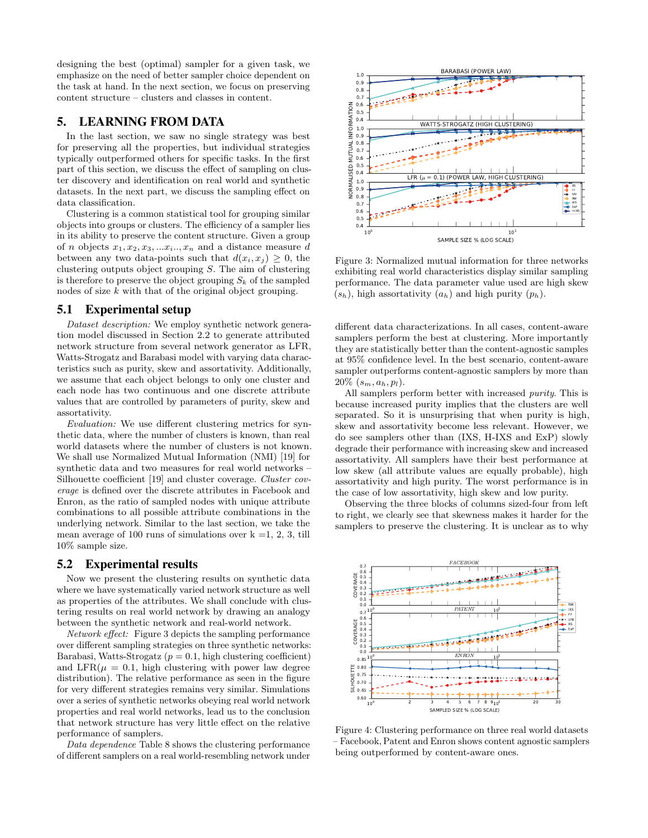designing the best (optimal) sampler for a given task, we emphasize on the need of better sampler choice dependent on the task at hand. In the next section, we focus on preserving content structure – clusters and classes in content.

# 5. LEARNING FROM DATA

In the last section, we saw no single strategy was best for preserving all the properties, but individual strategies typically outperformed others for specific tasks. In the first part of this section, we discuss the effect of sampling on cluster discovery and identification on real world and synthetic datasets. In the next part, we discuss the sampling effect on data classification.

Clustering is a common statistical tool for grouping similar objects into groups or clusters. The efficiency of a sampler lies in its ability to preserve the content structure. Given a group of *n* objects  $x_1, x_2, x_3, \ldots, x_i, x_n$  and a distance measure d between any two data-points such that  $d(x_i, x_j) \geq 0$ , the clustering outputs object grouping S. The aim of clustering is therefore to preserve the object grouping  $S_k$  of the sampled nodes of size  $k$  with that of the original object grouping.

## 5.1 Experimental setup

Dataset description: We employ synthetic network generation model discussed in Section 2.2 to generate attributed network structure from several network generator as LFR, Watts-Strogatz and Barabasi model with varying data characteristics such as purity, skew and assortativity. Additionally, we assume that each object belongs to only one cluster and each node has two continuous and one discrete attribute values that are controlled by parameters of purity, skew and assortativity.

Evaluation: We use different clustering metrics for synthetic data, where the number of clusters is known, than real world datasets where the number of clusters is not known. We shall use Normalized Mutual Information (NMI) [19] for synthetic data and two measures for real world networks – Silhouette coefficient [19] and cluster coverage. Cluster coverage is defined over the discrete attributes in Facebook and Enron, as the ratio of sampled nodes with unique attribute combinations to all possible attribute combinations in the underlying network. Similar to the last section, we take the mean average of 100 runs of simulations over  $k = 1, 2, 3$ , till 10% sample size.

## 5.2 Experimental results

Now we present the clustering results on synthetic data where we have systematically varied network structure as well as properties of the attributes. We shall conclude with clustering results on real world network by drawing an analogy between the synthetic network and real-world network.

Network effect: Figure 3 depicts the sampling performance over different sampling strategies on three synthetic networks: Barabasi, Watts-Strogatz ( $p = 0.1$ , high clustering coefficient) and LFR( $\mu = 0.1$ , high clustering with power law degree distribution). The relative performance as seen in the figure for very different strategies remains very similar. Simulations over a series of synthetic networks obeying real world network properties and real world networks, lead us to the conclusion that network structure has very little effect on the relative performance of samplers.

Data dependence Table 8 shows the clustering performance of different samplers on a real world-resembling network under



Figure 3: Normalized mutual information for three networks exhibiting real world characteristics display similar sampling performance. The data parameter value used are high skew  $(s_h)$ , high assortativity  $(a_h)$  and high purity  $(p_h)$ .

different data characterizations. In all cases, content-aware samplers perform the best at clustering. More importantly they are statistically better than the content-agnostic samples at 95% confidence level. In the best scenario, content-aware sampler outperforms content-agnostic samplers by more than  $20\%$   $(s_m, a_h, p_l)$ .

All samplers perform better with increased *purity*. This is because increased purity implies that the clusters are well separated. So it is unsurprising that when purity is high, skew and assortativity become less relevant. However, we do see samplers other than (IXS, H-IXS and ExP) slowly degrade their performance with increasing skew and increased assortativity. All samplers have their best performance at low skew (all attribute values are equally probable), high assortativity and high purity. The worst performance is in the case of low assortativity, high skew and low purity.

Observing the three blocks of columns sized-four from left to right, we clearly see that skewness makes it harder for the samplers to preserve the clustering. It is unclear as to why



Figure 4: Clustering performance on three real world datasets – Facebook, Patent and Enron shows content agnostic samplers being outperformed by content-aware ones.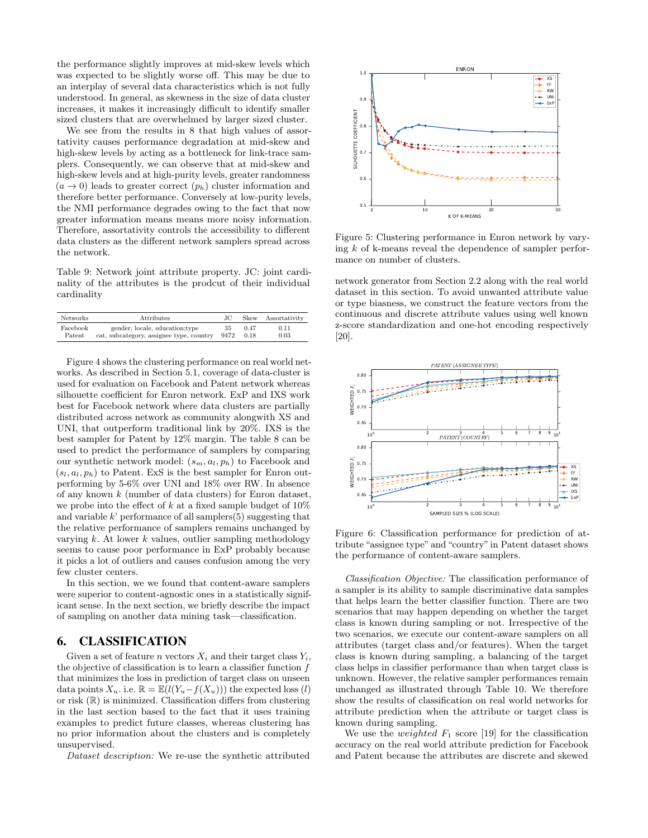the performance slightly improves at mid-skew levels which was expected to be slightly worse off. This may be due to an interplay of several data characteristics which is not fully understood. In general, as skewness in the size of data cluster increases, it makes it increasingly difficult to identify smaller sized clusters that are overwhelmed by larger sized cluster.

We see from the results in 8 that high values of assortativity causes performance degradation at mid-skew and high-skew levels by acting as a bottleneck for link-trace samplers. Consequently, we can observe that at mid-skew and high-skew levels and at high-purity levels, greater randomness  $(a \rightarrow 0)$  leads to greater correct  $(p_h)$  cluster information and therefore better performance. Conversely at low-purity levels, the NMI performance degrades owing to the fact that now greater information means means more noisy information. Therefore, assortativity controls the accessibility to different data clusters as the different network samplers spread across the network.

Table 9: Network joint attribute property. JC: joint cardinality of the attributes is the prodcut of their individual cardinality

| <b>Networks</b> | Attributes                               | JС   | Skew | Assortativity |
|-----------------|------------------------------------------|------|------|---------------|
| Facebook        | gender, locale, education; type          | 35   | 0.47 | 0.11          |
| Patent          | cat, subcategory, assignee type, country | 9472 | 0.18 | 0.03          |

Figure 4 shows the clustering performance on real world networks. As described in Section 5.1, coverage of data-cluster is used for evaluation on Facebook and Patent network whereas silhouette coefficient for Enron network. ExP and IXS work best for Facebook network where data clusters are partially distributed across network as community alongwith XS and UNI, that outperform traditional link by 20%. IXS is the best sampler for Patent by 12% margin. The table 8 can be used to predict the performance of samplers by comparing our synthetic network model:  $(s_m, a_l, p_h)$  to Facebook and  $(s_l, a_l, p_h)$  to Patent. ExS is the best sampler for Enron outperforming by 5-6% over UNI and 18% over RW. In absence of any known k (number of data clusters) for Enron dataset, we probe into the effect of k at a fixed sample budget of  $10\%$ and variable  $k'$  performance of all samplers $(5)$  suggesting that the relative performance of samplers remains unchanged by varying  $k$ . At lower  $k$  values, outlier sampling methodology seems to cause poor performance in ExP probably because it picks a lot of outliers and causes confusion among the very few cluster centers.

In this section, we we found that content-aware samplers were superior to content-agnostic ones in a statistically significant sense. In the next section, we briefly describe the impact of sampling on another data mining task—classification.

## 6. CLASSIFICATION

Given a set of feature *n* vectors  $X_i$  and their target class  $Y_i$ , the objective of classification is to learn a classifier function f that minimizes the loss in prediction of target class on unseen data points  $X_u$ . i.e.  $\mathbb{R} = \mathbb{E}(l(Y_u - f(X_u)))$  the expected loss  $(l)$ or risk  $(\mathbb{R})$  is minimized. Classification differs from clustering in the last section based to the fact that it uses training examples to predict future classes, whereas clustering has no prior information about the clusters and is completely unsupervised.

Dataset description: We re-use the synthetic attributed



Figure 5: Clustering performance in Enron network by varying k of k-means reveal the dependence of sampler performance on number of clusters.

network generator from Section 2.2 along with the real world dataset in this section. To avoid unwanted attribute value or type biasness, we construct the feature vectors from the continuous and discrete attribute values using well known z-score standardization and one-hot encoding respectively [20].



Figure 6: Classification performance for prediction of attribute "assignee type" and "country" in Patent dataset shows the performance of content-aware samplers.

Classification Objective: The classification performance of a sampler is its ability to sample discriminative data samples that helps learn the better classifier function. There are two scenarios that may happen depending on whether the target class is known during sampling or not. Irrespective of the two scenarios, we execute our content-aware samplers on all attributes (target class and/or features). When the target class is known during sampling, a balancing of the target class helps in classifier performance than when target class is unknown. However, the relative sampler performances remain unchanged as illustrated through Table 10. We therefore show the results of classification on real world networks for attribute prediction when the attribute or target class is known during sampling.

We use the *weighted*  $F_1$  score [19] for the classification accuracy on the real world attribute prediction for Facebook and Patent because the attributes are discrete and skewed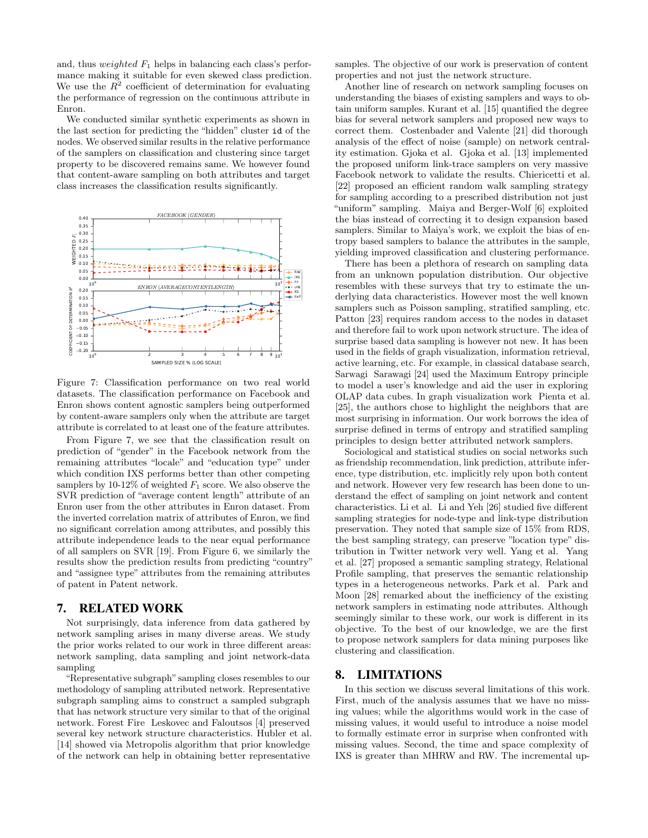and, thus *weighted*  $F_1$  helps in balancing each class's performance making it suitable for even skewed class prediction. We use the  $R^2$  coefficient of determination for evaluating the performance of regression on the continuous attribute in Enron.

We conducted similar synthetic experiments as shown in the last section for predicting the "hidden" cluster id of the nodes. We observed similar results in the relative performance of the samplers on classification and clustering since target property to be discovered remains same. We however found that content-aware sampling on both attributes and target class increases the classification results significantly.



Figure 7: Classification performance on two real world datasets. The classification performance on Facebook and Enron shows content agnostic samplers being outperformed by content-aware samplers only when the attribute are target attribute is correlated to at least one of the feature attributes.

From Figure 7, we see that the classification result on prediction of "gender" in the Facebook network from the remaining attributes "locale" and "education type" under which condition IXS performs better than other competing samplers by 10-12% of weighted  $F_1$  score. We also observe the SVR prediction of "average content length" attribute of an Enron user from the other attributes in Enron dataset. From the inverted correlation matrix of attributes of Enron, we find no significant correlation among attributes, and possibly this attribute independence leads to the near equal performance of all samplers on SVR [19]. From Figure 6, we similarly the results show the prediction results from predicting "country" and "assignee type" attributes from the remaining attributes of patent in Patent network.

## 7. RELATED WORK

Not surprisingly, data inference from data gathered by network sampling arises in many diverse areas. We study the prior works related to our work in three different areas: network sampling, data sampling and joint network-data sampling

"Representative subgraph" sampling closes resembles to our methodology of sampling attributed network. Representative subgraph sampling aims to construct a sampled subgraph that has network structure very similar to that of the original network. Forest Fire Leskovec and Faloutsos [4] preserved several key network structure characteristics. Hubler et al. [14] showed via Metropolis algorithm that prior knowledge of the network can help in obtaining better representative

samples. The objective of our work is preservation of content properties and not just the network structure.

Another line of research on network sampling focuses on understanding the biases of existing samplers and ways to obtain uniform samples. Kurant et al. [15] quantified the degree bias for several network samplers and proposed new ways to correct them. Costenbader and Valente [21] did thorough analysis of the effect of noise (sample) on network centrality estimation. Gjoka et al. Gjoka et al. [13] implemented the proposed uniform link-trace samplers on very massive Facebook network to validate the results. Chiericetti et al. [22] proposed an efficient random walk sampling strategy for sampling according to a prescribed distribution not just "uniform" sampling. Maiya and Berger-Wolf [6] exploited the bias instead of correcting it to design expansion based samplers. Similar to Maiya's work, we exploit the bias of entropy based samplers to balance the attributes in the sample, yielding improved classification and clustering performance.

There has been a plethora of research on sampling data from an unknown population distribution. Our objective resembles with these surveys that try to estimate the underlying data characteristics. However most the well known samplers such as Poisson sampling, stratified sampling, etc. Patton [23] requires random access to the nodes in dataset and therefore fail to work upon network structure. The idea of surprise based data sampling is however not new. It has been used in the fields of graph visualization, information retrieval, active learning, etc. For example, in classical database search, Sarwagi Sarawagi [24] used the Maximum Entropy principle to model a user's knowledge and aid the user in exploring OLAP data cubes. In graph visualization work Pienta et al. [25], the authors chose to highlight the neighbors that are most surprising in information. Our work borrows the idea of surprise defined in terms of entropy and stratified sampling principles to design better attributed network samplers.

Sociological and statistical studies on social networks such as friendship recommendation, link prediction, attribute inference, type distribution, etc. implicitly rely upon both content and network. However very few research has been done to understand the effect of sampling on joint network and content characteristics. Li et al. Li and Yeh [26] studied five different sampling strategies for node-type and link-type distribution preservation. They noted that sample size of 15% from RDS, the best sampling strategy, can preserve "location type" distribution in Twitter network very well. Yang et al. Yang et al. [27] proposed a semantic sampling strategy, Relational Profile sampling, that preserves the semantic relationship types in a heterogeneous networks. Park et al. Park and Moon [28] remarked about the inefficiency of the existing network samplers in estimating node attributes. Although seemingly similar to these work, our work is different in its objective. To the best of our knowledge, we are the first to propose network samplers for data mining purposes like clustering and classification.

# 8. LIMITATIONS

In this section we discuss several limitations of this work. First, much of the analysis assumes that we have no missing values; while the algorithms would work in the case of missing values, it would useful to introduce a noise model to formally estimate error in surprise when confronted with missing values. Second, the time and space complexity of IXS is greater than MHRW and RW. The incremental up-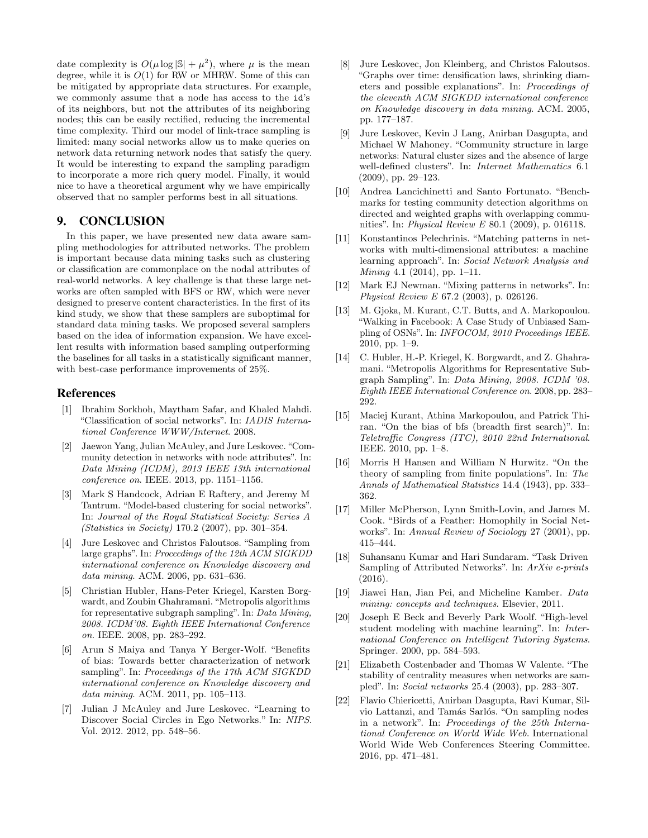date complexity is  $O(\mu \log |\mathbb{S}| + \mu^2)$ , where  $\mu$  is the mean degree, while it is  $O(1)$  for RW or MHRW. Some of this can be mitigated by appropriate data structures. For example, we commonly assume that a node has access to the id's of its neighbors, but not the attributes of its neighboring nodes; this can be easily rectified, reducing the incremental time complexity. Third our model of link-trace sampling is limited: many social networks allow us to make queries on network data returning network nodes that satisfy the query. It would be interesting to expand the sampling paradigm to incorporate a more rich query model. Finally, it would nice to have a theoretical argument why we have empirically observed that no sampler performs best in all situations.

## 9. CONCLUSION

In this paper, we have presented new data aware sampling methodologies for attributed networks. The problem is important because data mining tasks such as clustering or classification are commonplace on the nodal attributes of real-world networks. A key challenge is that these large networks are often sampled with BFS or RW, which were never designed to preserve content characteristics. In the first of its kind study, we show that these samplers are suboptimal for standard data mining tasks. We proposed several samplers based on the idea of information expansion. We have excellent results with information based sampling outperforming the baselines for all tasks in a statistically significant manner, with best-case performance improvements of 25%.

## References

- [1] Ibrahim Sorkhoh, Maytham Safar, and Khaled Mahdi. "Classification of social networks". In: IADIS International Conference WWW/Internet. 2008.
- [2] Jaewon Yang, Julian McAuley, and Jure Leskovec. "Community detection in networks with node attributes". In: Data Mining (ICDM), 2013 IEEE 13th international conference on. IEEE. 2013, pp. 1151–1156.
- [3] Mark S Handcock, Adrian E Raftery, and Jeremy M Tantrum. "Model-based clustering for social networks". In: Journal of the Royal Statistical Society: Series A (Statistics in Society) 170.2 (2007), pp. 301–354.
- [4] Jure Leskovec and Christos Faloutsos. "Sampling from large graphs". In: Proceedings of the 12th ACM SIGKDD international conference on Knowledge discovery and data mining. ACM. 2006, pp. 631–636.
- [5] Christian Hubler, Hans-Peter Kriegel, Karsten Borgwardt, and Zoubin Ghahramani. "Metropolis algorithms for representative subgraph sampling". In: Data Mining, 2008. ICDM'08. Eighth IEEE International Conference on. IEEE. 2008, pp. 283–292.
- [6] Arun S Maiya and Tanya Y Berger-Wolf. "Benefits of bias: Towards better characterization of network sampling". In: Proceedings of the 17th ACM SIGKDD international conference on Knowledge discovery and data mining. ACM. 2011, pp. 105–113.
- [7] Julian J McAuley and Jure Leskovec. "Learning to Discover Social Circles in Ego Networks." In: NIPS. Vol. 2012. 2012, pp. 548–56.
- [8] Jure Leskovec, Jon Kleinberg, and Christos Faloutsos. "Graphs over time: densification laws, shrinking diameters and possible explanations". In: Proceedings of the eleventh ACM SIGKDD international conference on Knowledge discovery in data mining. ACM. 2005, pp. 177–187.
- [9] Jure Leskovec, Kevin J Lang, Anirban Dasgupta, and Michael W Mahoney. "Community structure in large networks: Natural cluster sizes and the absence of large well-defined clusters". In: Internet Mathematics 6.1 (2009), pp. 29–123.
- [10] Andrea Lancichinetti and Santo Fortunato. "Benchmarks for testing community detection algorithms on directed and weighted graphs with overlapping communities". In: Physical Review E 80.1 (2009), p. 016118.
- [11] Konstantinos Pelechrinis. "Matching patterns in networks with multi-dimensional attributes: a machine learning approach". In: Social Network Analysis and Mining 4.1 (2014), pp. 1–11.
- [12] Mark EJ Newman. "Mixing patterns in networks". In: Physical Review E 67.2 (2003), p. 026126.
- [13] M. Gjoka, M. Kurant, C.T. Butts, and A. Markopoulou. "Walking in Facebook: A Case Study of Unbiased Sampling of OSNs". In: INFOCOM, 2010 Proceedings IEEE. 2010, pp. 1–9.
- [14] C. Hubler, H.-P. Kriegel, K. Borgwardt, and Z. Ghahramani. "Metropolis Algorithms for Representative Subgraph Sampling". In: Data Mining, 2008. ICDM '08. Eighth IEEE International Conference on. 2008, pp. 283– 292.
- [15] Maciej Kurant, Athina Markopoulou, and Patrick Thiran. "On the bias of bfs (breadth first search)". In: Teletraffic Congress (ITC), 2010 22nd International. IEEE. 2010, pp. 1–8.
- [16] Morris H Hansen and William N Hurwitz. "On the theory of sampling from finite populations". In: The Annals of Mathematical Statistics 14.4 (1943), pp. 333– 362.
- [17] Miller McPherson, Lynn Smith-Lovin, and James M. Cook. "Birds of a Feather: Homophily in Social Networks". In: Annual Review of Sociology 27 (2001), pp. 415–444.
- [18] Suhansanu Kumar and Hari Sundaram. "Task Driven Sampling of Attributed Networks". In: ArXiv e-prints (2016).
- [19] Jiawei Han, Jian Pei, and Micheline Kamber. Data mining: concepts and techniques. Elsevier, 2011.
- [20] Joseph E Beck and Beverly Park Woolf. "High-level student modeling with machine learning". In: International Conference on Intelligent Tutoring Systems. Springer. 2000, pp. 584–593.
- [21] Elizabeth Costenbader and Thomas W Valente. "The stability of centrality measures when networks are sampled". In: Social networks 25.4 (2003), pp. 283–307.
- [22] Flavio Chiericetti, Anirban Dasgupta, Ravi Kumar, Silvio Lattanzi, and Tamás Sarlós. "On sampling nodes in a network". In: Proceedings of the 25th International Conference on World Wide Web. International World Wide Web Conferences Steering Committee. 2016, pp. 471–481.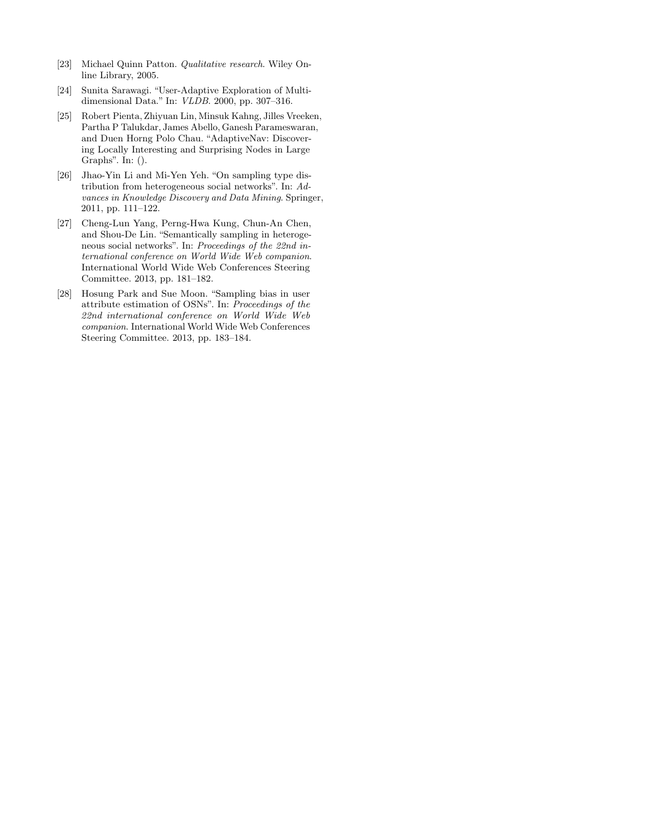- [23] Michael Quinn Patton. Qualitative research. Wiley Online Library, 2005.
- [24] Sunita Sarawagi. "User-Adaptive Exploration of Multidimensional Data." In: VLDB. 2000, pp. 307–316.
- [25] Robert Pienta, Zhiyuan Lin, Minsuk Kahng, Jilles Vreeken, Partha P Talukdar, James Abello, Ganesh Parameswaran, and Duen Horng Polo Chau. "AdaptiveNav: Discovering Locally Interesting and Surprising Nodes in Large Graphs". In: ().
- [26] Jhao-Yin Li and Mi-Yen Yeh. "On sampling type distribution from heterogeneous social networks". In: Advances in Knowledge Discovery and Data Mining. Springer, 2011, pp. 111–122.
- [27] Cheng-Lun Yang, Perng-Hwa Kung, Chun-An Chen, and Shou-De Lin. "Semantically sampling in heterogeneous social networks". In: Proceedings of the 22nd international conference on World Wide Web companion. International World Wide Web Conferences Steering Committee. 2013, pp. 181–182.
- [28] Hosung Park and Sue Moon. "Sampling bias in user attribute estimation of OSNs". In: Proceedings of the 22nd international conference on World Wide Web companion. International World Wide Web Conferences Steering Committee. 2013, pp. 183–184.